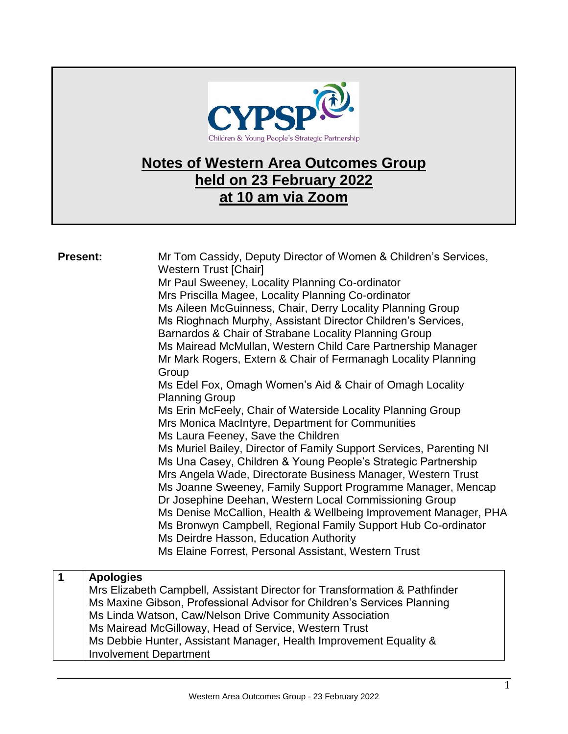

## **Notes of Western Area Outcomes Group held on 23 February 2022 at 10 am via Zoom**

| <b>Present:</b> | Mr Tom Cassidy, Deputy Director of Women & Children's Services,<br><b>Western Trust [Chair]</b><br>Mr Paul Sweeney, Locality Planning Co-ordinator<br>Mrs Priscilla Magee, Locality Planning Co-ordinator<br>Ms Aileen McGuinness, Chair, Derry Locality Planning Group<br>Ms Rioghnach Murphy, Assistant Director Children's Services,<br>Barnardos & Chair of Strabane Locality Planning Group<br>Ms Mairead McMullan, Western Child Care Partnership Manager<br>Mr Mark Rogers, Extern & Chair of Fermanagh Locality Planning<br>Group<br>Ms Edel Fox, Omagh Women's Aid & Chair of Omagh Locality<br><b>Planning Group</b><br>Ms Erin McFeely, Chair of Waterside Locality Planning Group<br>Mrs Monica MacIntyre, Department for Communities<br>Ms Laura Feeney, Save the Children<br>Ms Muriel Bailey, Director of Family Support Services, Parenting NI<br>Ms Una Casey, Children & Young People's Strategic Partnership<br>Mrs Angela Wade, Directorate Business Manager, Western Trust<br>Ms Joanne Sweeney, Family Support Programme Manager, Mencap<br>Dr Josephine Deehan, Western Local Commissioning Group<br>Ms Denise McCallion, Health & Wellbeing Improvement Manager, PHA<br>Ms Bronwyn Campbell, Regional Family Support Hub Co-ordinator<br>Ms Deirdre Hasson, Education Authority<br>Ms Elaine Forrest, Personal Assistant, Western Trust |
|-----------------|-----------------------------------------------------------------------------------------------------------------------------------------------------------------------------------------------------------------------------------------------------------------------------------------------------------------------------------------------------------------------------------------------------------------------------------------------------------------------------------------------------------------------------------------------------------------------------------------------------------------------------------------------------------------------------------------------------------------------------------------------------------------------------------------------------------------------------------------------------------------------------------------------------------------------------------------------------------------------------------------------------------------------------------------------------------------------------------------------------------------------------------------------------------------------------------------------------------------------------------------------------------------------------------------------------------------------------------------------------------------|
| $\overline{1}$  | <b>Apologies</b><br>Mrs Elizabeth Campbell, Assistant Director for Transformation & Pathfinder<br>Ms Maxine Gibson, Professional Advisor for Children's Services Planning<br>Ms Linda Watson, Caw/Nelson Drive Community Association<br>Ms Mairead McGilloway, Head of Service, Western Trust<br>Ms Debbie Hunter, Assistant Manager, Health Improvement Equality &<br><b>Involvement Department</b>                                                                                                                                                                                                                                                                                                                                                                                                                                                                                                                                                                                                                                                                                                                                                                                                                                                                                                                                                            |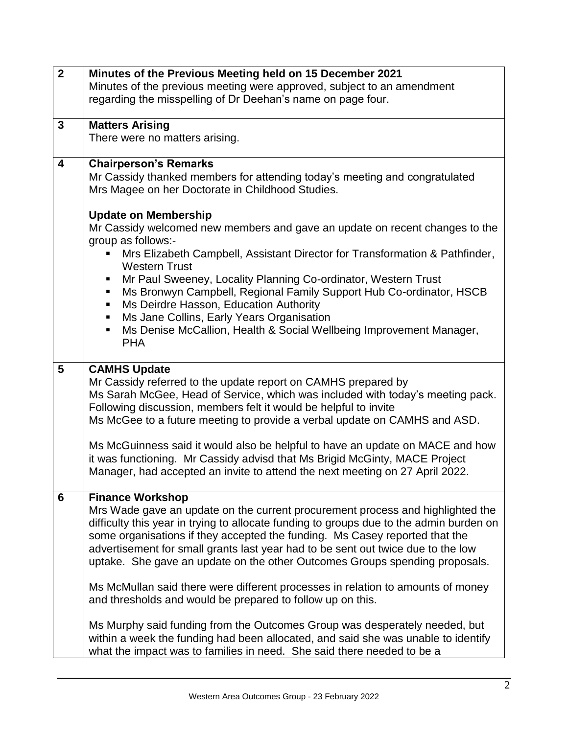| $\overline{2}$          | Minutes of the Previous Meeting held on 15 December 2021                                                                                           |
|-------------------------|----------------------------------------------------------------------------------------------------------------------------------------------------|
|                         | Minutes of the previous meeting were approved, subject to an amendment                                                                             |
|                         | regarding the misspelling of Dr Deehan's name on page four.                                                                                        |
|                         |                                                                                                                                                    |
| 3                       | <b>Matters Arising</b>                                                                                                                             |
|                         | There were no matters arising.                                                                                                                     |
|                         |                                                                                                                                                    |
| $\overline{\mathbf{4}}$ | <b>Chairperson's Remarks</b>                                                                                                                       |
|                         | Mr Cassidy thanked members for attending today's meeting and congratulated                                                                         |
|                         | Mrs Magee on her Doctorate in Childhood Studies.                                                                                                   |
|                         |                                                                                                                                                    |
|                         | <b>Update on Membership</b>                                                                                                                        |
|                         | Mr Cassidy welcomed new members and gave an update on recent changes to the                                                                        |
|                         | group as follows:-                                                                                                                                 |
|                         | Mrs Elizabeth Campbell, Assistant Director for Transformation & Pathfinder,                                                                        |
|                         | <b>Western Trust</b>                                                                                                                               |
|                         | Mr Paul Sweeney, Locality Planning Co-ordinator, Western Trust                                                                                     |
|                         | Ms Bronwyn Campbell, Regional Family Support Hub Co-ordinator, HSCB<br>$\blacksquare$                                                              |
|                         | Ms Deirdre Hasson, Education Authority<br>$\blacksquare$                                                                                           |
|                         | Ms Jane Collins, Early Years Organisation<br>п                                                                                                     |
|                         | Ms Denise McCallion, Health & Social Wellbeing Improvement Manager,<br>ш                                                                           |
|                         | <b>PHA</b>                                                                                                                                         |
|                         |                                                                                                                                                    |
| 5                       | <b>CAMHS Update</b>                                                                                                                                |
|                         | Mr Cassidy referred to the update report on CAMHS prepared by                                                                                      |
|                         | Ms Sarah McGee, Head of Service, which was included with today's meeting pack.<br>Following discussion, members felt it would be helpful to invite |
|                         | Ms McGee to a future meeting to provide a verbal update on CAMHS and ASD.                                                                          |
|                         |                                                                                                                                                    |
|                         | Ms McGuinness said it would also be helpful to have an update on MACE and how                                                                      |
|                         | it was functioning. Mr Cassidy advisd that Ms Brigid McGinty, MACE Project                                                                         |
|                         | Manager, had accepted an invite to attend the next meeting on 27 April 2022.                                                                       |
|                         |                                                                                                                                                    |
| $6\phantom{1}6$         | <b>Finance Workshop</b>                                                                                                                            |
|                         | Mrs Wade gave an update on the current procurement process and highlighted the                                                                     |
|                         | difficulty this year in trying to allocate funding to groups due to the admin burden on                                                            |
|                         | some organisations if they accepted the funding. Ms Casey reported that the                                                                        |
|                         | advertisement for small grants last year had to be sent out twice due to the low                                                                   |
|                         | uptake. She gave an update on the other Outcomes Groups spending proposals.                                                                        |
|                         |                                                                                                                                                    |
|                         | Ms McMullan said there were different processes in relation to amounts of money                                                                    |
|                         | and thresholds and would be prepared to follow up on this.                                                                                         |
|                         |                                                                                                                                                    |
|                         | Ms Murphy said funding from the Outcomes Group was desperately needed, but                                                                         |
|                         | within a week the funding had been allocated, and said she was unable to identify                                                                  |
|                         | what the impact was to families in need. She said there needed to be a                                                                             |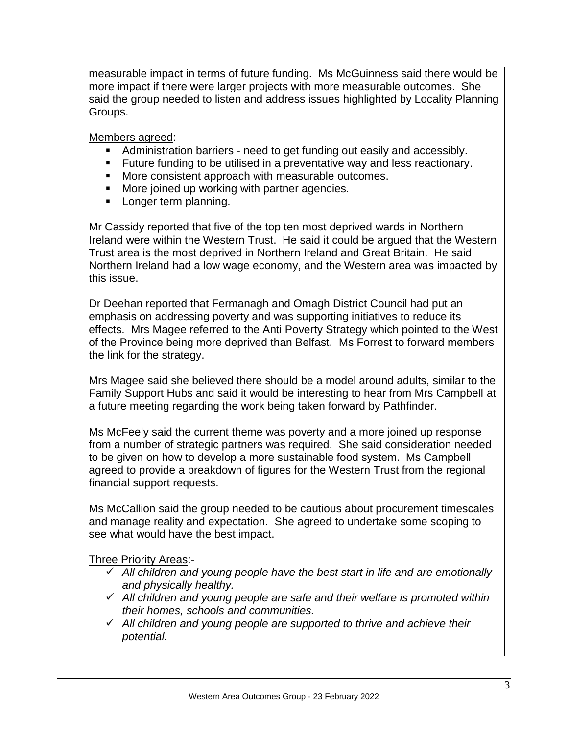measurable impact in terms of future funding. Ms McGuinness said there would be more impact if there were larger projects with more measurable outcomes. She said the group needed to listen and address issues highlighted by Locality Planning Groups.

Members agreed:-

- Administration barriers need to get funding out easily and accessibly.
- **Future funding to be utilised in a preventative way and less reactionary.**
- **More consistent approach with measurable outcomes.**
- More joined up working with partner agencies.
- **Longer term planning.**

Mr Cassidy reported that five of the top ten most deprived wards in Northern Ireland were within the Western Trust. He said it could be argued that the Western Trust area is the most deprived in Northern Ireland and Great Britain. He said Northern Ireland had a low wage economy, and the Western area was impacted by this issue.

Dr Deehan reported that Fermanagh and Omagh District Council had put an emphasis on addressing poverty and was supporting initiatives to reduce its effects. Mrs Magee referred to the Anti Poverty Strategy which pointed to the West of the Province being more deprived than Belfast. Ms Forrest to forward members the link for the strategy.

Mrs Magee said she believed there should be a model around adults, similar to the Family Support Hubs and said it would be interesting to hear from Mrs Campbell at a future meeting regarding the work being taken forward by Pathfinder.

Ms McFeely said the current theme was poverty and a more joined up response from a number of strategic partners was required. She said consideration needed to be given on how to develop a more sustainable food system. Ms Campbell agreed to provide a breakdown of figures for the Western Trust from the regional financial support requests.

Ms McCallion said the group needed to be cautious about procurement timescales and manage reality and expectation. She agreed to undertake some scoping to see what would have the best impact.

Three Priority Areas:-

- *All children and young people have the best start in life and are emotionally and physically healthy.*
- *All children and young people are safe and their welfare is promoted within their homes, schools and communities.*
- *All children and young people are supported to thrive and achieve their potential.*